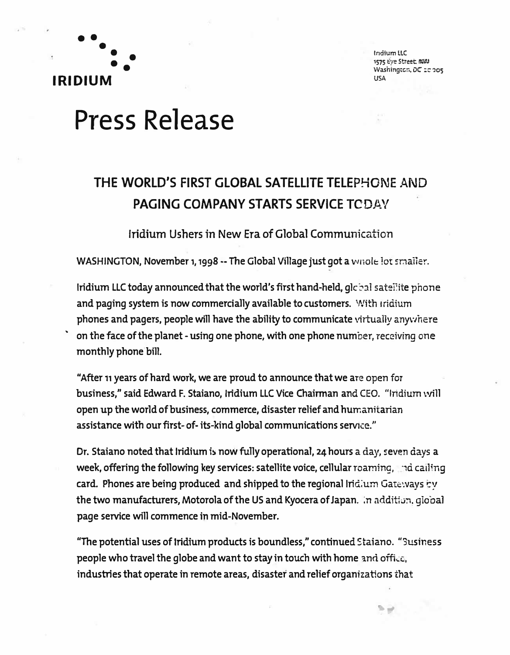

**�** 

lndlumlLC 1575 Eye Street. MIRA Washington, DC 10005 USA

# **Press Release**

## **THE WORLD'S FIRST GLOBAL SATELLITE TELEP�ONE AND PAGING COMPANY STARTS SERVICE TODAY**

Iridium Ushers in New Era of Global Communication

**WASHINGTON, November 1, 1998 -- The Global Village just got a wnole lot smaller.** 

**Iridium LLC today announced that the world's first hand-held, global satellite phone and paging system is now commercially available to customers. 'Nith Iridium phones and pagers, people will have the ability to communicate virtually any\·1here on the face of the planet -using one phone, with one phone number, receiving one monthly phone bill.** 

**"After 11 years of hard work, we are proud to announce that we are open for business," said Edward F. Staiano, Iridium LLC Vice Chainnan and CEO. "Iridium will open up the world of business, commerce, disaster relief and hurr.anitarian assistance with our first- of-its-kind global communications service."** 

**Dr. Staiano noted that Iridium is now fully operational, 24 hours a day, seven days a week, offering the following key services: satellite voice, cellular roaming, the cailing veget card. Phones are being produced and shipped to the regional lrid:um Gate�vays ty**  the two manufacturers, Motorola of the US and Kyocera of Japan. In addition, giobal **page service will commence in mid-November.** 

**"The potential uses of Iridium products is boundless," continued Staiano. "Susiness people who travel the globe and want to stay in touch with home and offi..:c, industries that operate in remote areas, disaster and relief organizations that**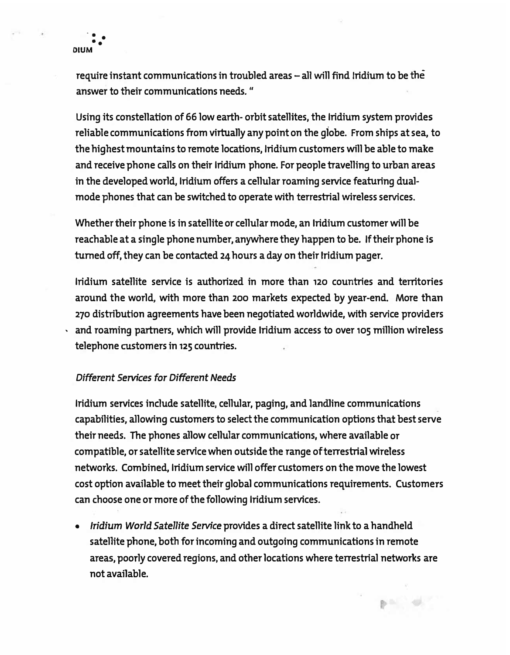**require instant communications in troubled areas - all will find Iridium to be the answer to their communications needs. "** 

**Using its constellation of 66 low earth- orbit satellites, the Iridium system provides reliable communications from virtually any point on the giobe. From ships at sea, to the highest mountains to remote locations, Iridium customers will be able to make and receive phone calls on their Iridium phone. For people travelling to urban areas in the developed world, Iridium offers a cellular roaming service featuring dualmode phones that can be switched to operate with terrestrial wireless services.** 

**Whether their phone is in satellite or cellular mode, an Iridium customer will be reachable at a single phone number, anywhere they happen to be. If their phone is turned off, they can be contacted 24 hours a day on their Iridium pager.** 

**Iridium satellite service is authorized in more than 120 countries and territories around the world, with more than 200 markets expected by year-end. More than <sup>270</sup>distribution agreements have been negotiated worldwide, with service providers , and roaming partners, which will provide Iridium access to over 105 million wireless telephone customers in 125 countries.** 

#### *Different Services for Different Needs*

**Iridium services include satellite, cellular, paging, and landline communications capabilities, allowing customers to select the communication options that best serve their needs. The phones allow cellular communications, where available or compatible, or satellite service when outside the range of terrestrial wireless networks. Combined, Iridium service will offer customers on the move the lowest cost option available to meet their global communications requirements. Customers can choose one or more of the following Iridium services.** 

**•** *Iridium World Satellite Service* **provides a direct satellite link to a handheld satellite phone, both for incoming and outgoing communications in remote areas, poorly covered regions, and other locations where terrestrial networks are not available.**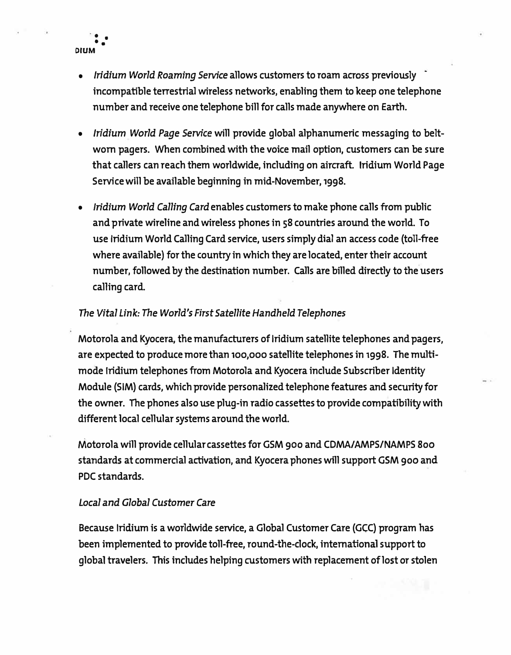- $\ddot{\cdot}$  . **DIUM**
- **•** *Iridium World Roaming Service* **allows customers to roam across previously incompatible terrestrial wireless networks, enabling them to keep one telephone number and receive one telephone bill for calls made anywhere on Earth.**
- **•** *Iridium World Page Service* **will provide global alphanumeric messaging to beltworn pagers. When combined with the voice mail option, customers can be sure that callers can reach them worldwide, including on aircraft. Iridium World Page Service will be available beginning in mid-November, 1998.**
- **•** *Iridium World Calling Card* **enables customers to make phone calls from public and private wireline and wireless phones in 58 countries around the world. To use Iridium World Calling Card service, users simply dial an access code (toll-free where available) for the country in which they are located, enter their account number, followed by the destination number. Calls are billed directly to the users calling card.**

### *The Vital Link: The World's First Satellite Handheld Telephones*

**Motorola and Kyocera, the manufacturers of Iridium satellite telephones and pagers, are expected to produce more than** 100,000 **satellite telephones in 1998. The multimode Iridium telephones from Motorola and Kyocera include Subscriber Identity Module (SIM) cards, which provide personalized telephone features and security for the owner. The phones also use plug-in radio cassettes to provide compatibility with different local cellular systems around the world.** 

**Motorola will provide cellular cassettes for GSM goo and CDMA/ AMPS/NAMPS Boo standards at commercial activation, and Kyocera phones will support GSM goo and PDC standards.** 

#### *Local and Global Customer Care*

**Because Iridium is a worldwide service, a Global Customer Care (GCC) program has been implemented to provide toll-free, round-the-clock, international support to global travelers. This includes helping customers with replacement oflost or stolen**